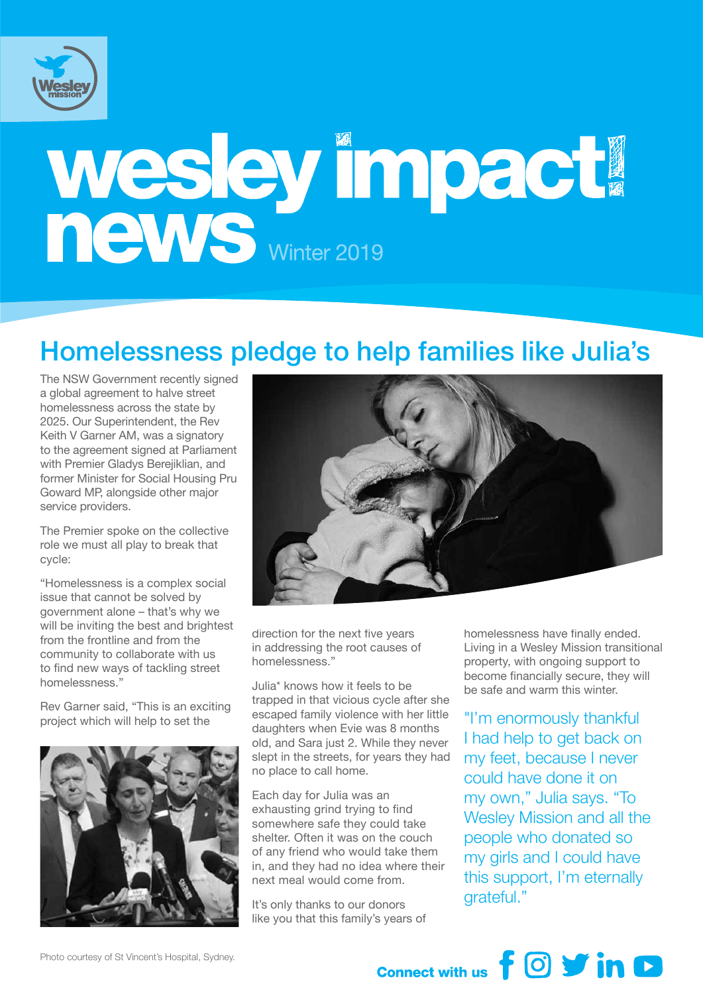

# Wesley Impact

#### Homelessness pledge to help families like Julia's

The NSW Government recently signed a global agreement to halve street homelessness across the state by 2025. Our Superintendent, the Rev Keith V Garner AM, was a signatory to the agreement signed at Parliament with Premier Gladys Berejiklian, and former Minister for Social Housing Pru Goward MP, alongside other major service providers.

The Premier spoke on the collective role we must all play to break that cycle:

"Homelessness is a complex social issue that cannot be solved by government alone – that's why we will be inviting the best and brightest from the frontline and from the community to collaborate with us to find new ways of tackling street homelessness."

Rev Garner said, "This is an exciting project which will help to set the





direction for the next five years in addressing the root causes of homelessness."

Julia\* knows how it feels to be trapped in that vicious cycle after she escaped family violence with her little daughters when Evie was 8 months old, and Sara just 2. While they never slept in the streets, for years they had no place to call home.

Each day for Julia was an exhausting grind trying to find somewhere safe they could take shelter. Often it was on the couch of any friend who would take them in, and they had no idea where their next meal would come from.

It's only thanks to our donors like you that this family's years of homelessness have finally ended. Living in a Wesley Mission transitional property, with ongoing support to become financially secure, they will be safe and warm this winter.

"I'm enormously thankful I had help to get back on my feet, because I never could have done it on my own," Julia says. "To Wesley Mission and all the people who donated so my girls and I could have this support, I'm eternally grateful."

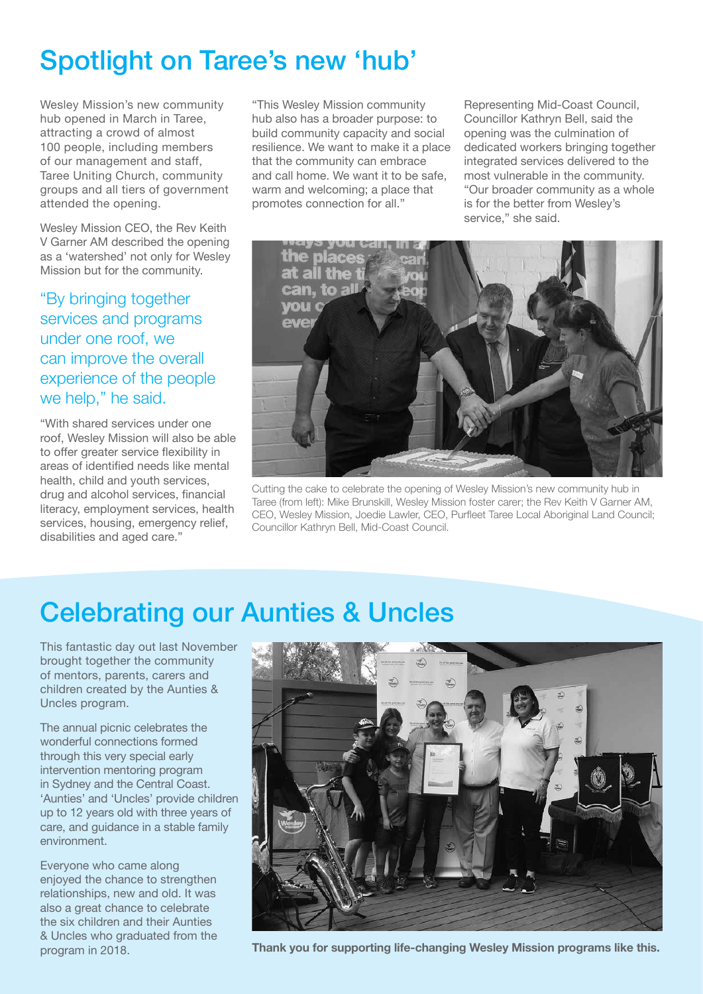# Spotlight on Taree's new 'hub'

Wesley Mission's new community hub opened in March in Taree, attracting a crowd of almost 100 people, including members of our management and staff, Taree Uniting Church, community groups and all tiers of government attended the opening.

Wesley Mission CEO, the Rev Keith V Garner AM described the opening as a 'watershed' not only for Wesley Mission but for the community.

"By bringing together services and programs under one roof, we can improve the overall experience of the people we help," he said.

"With shared services under one roof, Wesley Mission will also be able to offer greater service flexibility in areas of identified needs like mental health, child and youth services, drug and alcohol services, financial literacy, employment services, health services, housing, emergency relief, disabilities and aged care."

"This Wesley Mission community hub also has a broader purpose: to build community capacity and social resilience. We want to make it a place that the community can embrace and call home. We want it to be safe, warm and welcoming; a place that promotes connection for all."

Representing Mid-Coast Council, Councillor Kathryn Bell, said the opening was the culmination of dedicated workers bringing together integrated services delivered to the most vulnerable in the community. "Our broader community as a whole is for the better from Wesley's service," she said.



Cutting the cake to celebrate the opening of Wesley Mission's new community hub in Taree (from left): Mike Brunskill, Wesley Mission foster carer; the Rev Keith V Garner AM, CEO, Wesley Mission, Joedie Lawler, CEO, Purfleet Taree Local Aboriginal Land Council; Councillor Kathryn Bell, Mid-Coast Council.

# Celebrating our Aunties & Uncles

This fantastic day out last November brought together the community of mentors, parents, carers and children created by the Aunties & Uncles program.

The annual picnic celebrates the wonderful connections formed through this very special early intervention mentoring program in Sydney and the Central Coast. 'Aunties' and 'Uncles' provide children up to 12 years old with three years of care, and guidance in a stable family environment.

Everyone who came along enjoyed the chance to strengthen relationships, new and old. It was also a great chance to celebrate the six children and their Aunties & Uncles who graduated from the program in 2018.



**Thank you for supporting life-changing Wesley Mission programs like this.**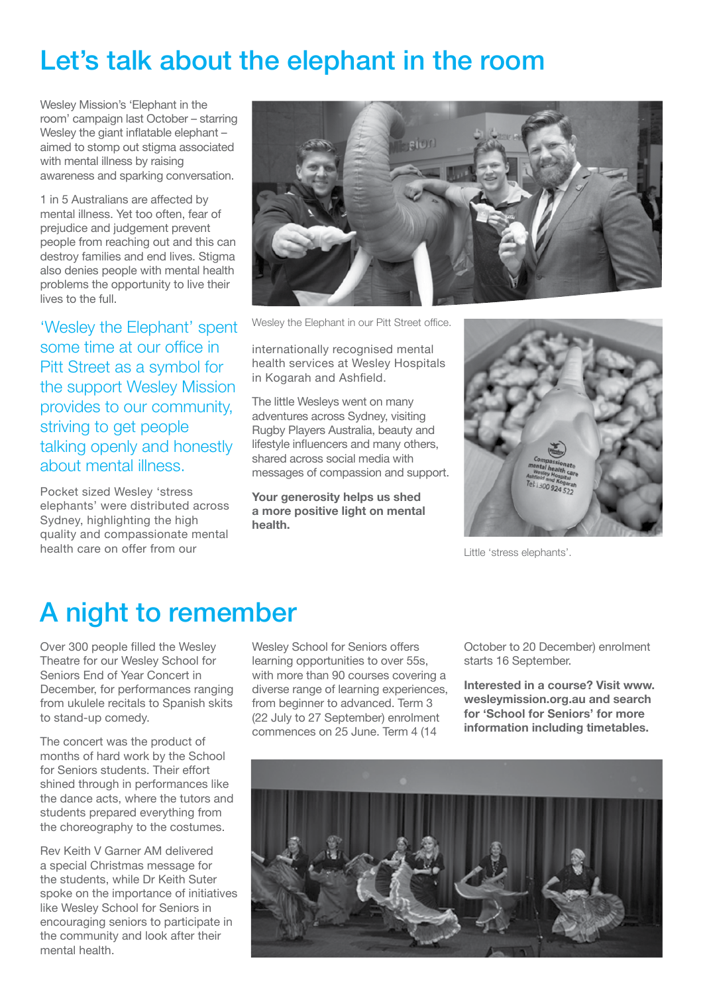### Let's talk about the elephant in the room

Wesley Mission's 'Elephant in the room' campaign last October – starring Wesley the giant inflatable elephant – aimed to stomp out stigma associated with mental illness by raising awareness and sparking conversation.

1 in 5 Australians are affected by mental illness. Yet too often, fear of prejudice and judgement prevent people from reaching out and this can destroy families and end lives. Stigma also denies people with mental health problems the opportunity to live their lives to the full.

'Wesley the Elephant' spent some time at our office in Pitt Street as a symbol for the support Wesley Mission provides to our community, striving to get people talking openly and honestly about mental illness.

Pocket sized Wesley 'stress elephants' were distributed across Sydney, highlighting the high quality and compassionate mental health care on offer from our



Wesley the Elephant in our Pitt Street office.

internationally recognised mental health services at Wesley Hospitals in Kogarah and Ashfield.

The little Wesleys went on many adventures across Sydney, visiting Rugby Players Australia, beauty and lifestyle influencers and many others, shared across social media with messages of compassion and support.

**Your generosity helps us shed a more positive light on mental health.**



Little 'stress elephants'.

#### A night to remember

Over 300 people filled the Wesley Theatre for our Wesley School for Seniors End of Year Concert in December, for performances ranging from ukulele recitals to Spanish skits to stand-up comedy.

The concert was the product of months of hard work by the School for Seniors students. Their effort shined through in performances like the dance acts, where the tutors and students prepared everything from the choreography to the costumes.

Rev Keith V Garner AM delivered a special Christmas message for the students, while Dr Keith Suter spoke on the importance of initiatives like Wesley School for Seniors in encouraging seniors to participate in the community and look after their mental health.

Wesley School for Seniors offers learning opportunities to over 55s, with more than 90 courses covering a diverse range of learning experiences, from beginner to advanced. Term 3 (22 July to 27 September) enrolment commences on 25 June. Term 4 (14

October to 20 December) enrolment starts 16 September.

**Interested in a course? Visit www. wesleymission.org.au and search for 'School for Seniors' for more information including timetables.**